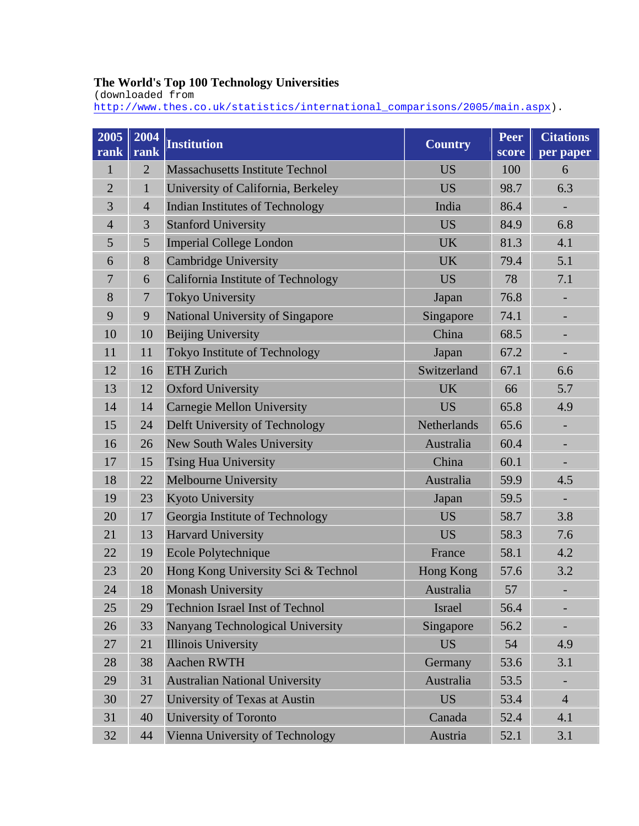## **The World's Top 100 Technology Universities**

(downloaded from

[http://www.thes.co.uk/statistics/international\\_comparisons/2005/main.aspx\)](http://www.thes.co.uk/statistics/international_comparisons/2005/main.aspx).

| 2005<br>rank   | 2004<br>rank   | <b>Institution</b>                     | <b>Country</b> | Peer<br>score | <b>Citations</b><br>per paper |
|----------------|----------------|----------------------------------------|----------------|---------------|-------------------------------|
| 1              | $\overline{2}$ | <b>Massachusetts Institute Technol</b> | <b>US</b>      | 100           | 6                             |
| $\overline{2}$ | $\mathbf{1}$   | University of California, Berkeley     | <b>US</b>      | 98.7          | 6.3                           |
| 3              | $\overline{4}$ | <b>Indian Institutes of Technology</b> | India          | 86.4          |                               |
| $\overline{4}$ | 3              | <b>Stanford University</b>             | <b>US</b>      | 84.9          | 6.8                           |
| 5              | 5              | <b>Imperial College London</b>         | <b>UK</b>      | 81.3          | 4.1                           |
| 6              | 8              | <b>Cambridge University</b>            | <b>UK</b>      | 79.4          | 5.1                           |
| $\overline{7}$ | 6              | California Institute of Technology     | <b>US</b>      | 78            | 7.1                           |
| 8              | $\overline{7}$ | <b>Tokyo University</b>                | Japan          | 76.8          |                               |
| 9              | 9              | National University of Singapore       | Singapore      | 74.1          | $\overline{\phantom{0}}$      |
| 10             | 10             | <b>Beijing University</b>              | China          | 68.5          |                               |
| 11             | 11             | Tokyo Institute of Technology          | Japan          | 67.2          | $\overline{\phantom{0}}$      |
| 12             | 16             | <b>ETH Zurich</b>                      | Switzerland    | 67.1          | 6.6                           |
| 13             | 12             | <b>Oxford University</b>               | <b>UK</b>      | 66            | 5.7                           |
| 14             | 14             | <b>Carnegie Mellon University</b>      | <b>US</b>      | 65.8          | 4.9                           |
| 15             | 24             | Delft University of Technology         | Netherlands    | 65.6          | $\overline{\phantom{0}}$      |
| 16             | 26             | New South Wales University             | Australia      | 60.4          |                               |
| 17             | 15             | <b>Tsing Hua University</b>            | China          | 60.1          |                               |
| 18             | 22             | Melbourne University                   | Australia      | 59.9          | 4.5                           |
| 19             | 23             | <b>Kyoto University</b>                | Japan          | 59.5          | ÷,                            |
| 20             | 17             | Georgia Institute of Technology        | <b>US</b>      | 58.7          | 3.8                           |
| 21             | 13             | <b>Harvard University</b>              | <b>US</b>      | 58.3          | 7.6                           |
| 22             | 19             | Ecole Polytechnique                    | France         | 58.1          | 4.2                           |
| 23             | 20             | Hong Kong University Sci & Technol     | Hong Kong      | 57.6          | 3.2                           |
| 24             | 18             | <b>Monash University</b>               | Australia      | 57            |                               |
| 25             | 29             | <b>Technion Israel Inst of Technol</b> | Israel         | 56.4          |                               |
| 26             | 33             | Nanyang Technological University       | Singapore      | 56.2          |                               |
| 27             | 21             | <b>Illinois University</b>             | <b>US</b>      | 54            | 4.9                           |
| 28             | 38             | Aachen RWTH                            | Germany        | 53.6          | 3.1                           |
| 29             | 31             | <b>Australian National University</b>  | Australia      | 53.5          |                               |
| 30             | 27             | University of Texas at Austin          | <b>US</b>      | 53.4          | $\overline{4}$                |
| 31             | 40             | University of Toronto                  | Canada         | 52.4          | 4.1                           |
| 32             | 44             | Vienna University of Technology        | Austria        | 52.1          | 3.1                           |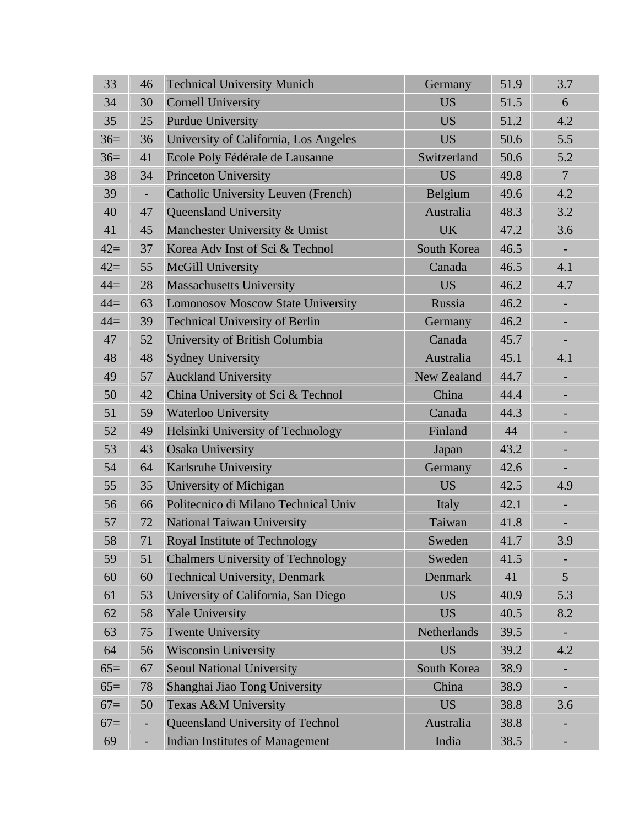| 33    | 46                       | <b>Technical University Munich</b>         | Germany            | 51.9 | 3.7                          |
|-------|--------------------------|--------------------------------------------|--------------------|------|------------------------------|
| 34    | 30                       | <b>Cornell University</b>                  | <b>US</b>          | 51.5 | 6                            |
| 35    | 25                       | <b>Purdue University</b>                   | <b>US</b>          | 51.2 | 4.2                          |
| $36=$ | 36                       | University of California, Los Angeles      | <b>US</b>          | 50.6 | 5.5                          |
| $36=$ | 41                       | Ecole Poly Fédérale de Lausanne            | Switzerland        | 50.6 | 5.2                          |
| 38    | 34                       | <b>Princeton University</b>                | <b>US</b>          | 49.8 | $\overline{7}$               |
| 39    | $\overline{\phantom{a}}$ | <b>Catholic University Leuven (French)</b> | Belgium            | 49.6 | 4.2                          |
| 40    | 47                       | Queensland University                      | Australia          | 48.3 | 3.2                          |
| 41    | 45                       | Manchester University & Umist              | <b>UK</b>          | 47.2 | 3.6                          |
| $42=$ | 37                       | Korea Adv Inst of Sci & Technol            | South Korea        | 46.5 | $\overline{\phantom{a}}$     |
| $42=$ | 55                       | McGill University                          | Canada             | 46.5 | 4.1                          |
| $44=$ | 28                       | <b>Massachusetts University</b>            | <b>US</b>          | 46.2 | 4.7                          |
| $44=$ | 63                       | <b>Lomonosov Moscow State University</b>   | Russia             | 46.2 | $\qquad \qquad \blacksquare$ |
| $44=$ | 39                       | <b>Technical University of Berlin</b>      | Germany            | 46.2 | $\overline{\phantom{a}}$     |
| 47    | 52                       | University of British Columbia             | Canada             | 45.7 | $\overline{\phantom{0}}$     |
| 48    | 48                       | <b>Sydney University</b>                   | Australia          | 45.1 | 4.1                          |
| 49    | 57                       | <b>Auckland University</b>                 | <b>New Zealand</b> | 44.7 | $\blacksquare$               |
| 50    | 42                       | China University of Sci & Technol          | China              | 44.4 |                              |
| 51    | 59                       | Waterloo University                        | Canada             | 44.3 |                              |
| 52    | 49                       | Helsinki University of Technology          | Finland            | 44   |                              |
| 53    | 43                       | <b>Osaka University</b>                    | Japan              | 43.2 |                              |
| 54    | 64                       | Karlsruhe University                       | Germany            | 42.6 |                              |
| 55    | 35                       | University of Michigan                     | <b>US</b>          | 42.5 | 4.9                          |
| 56    | 66                       | Politecnico di Milano Technical Univ       | Italy              | 42.1 | $\overline{\phantom{a}}$     |
| 57    | 72                       | National Taiwan University                 | Taiwan             | 41.8 | $\overline{\phantom{0}}$     |
| 58    | 71                       | Royal Institute of Technology              | Sweden             | 41.7 | 3.9                          |
| 59    | 51                       | <b>Chalmers University of Technology</b>   | Sweden             | 41.5 |                              |
| 60    | 60                       | <b>Technical University, Denmark</b>       | Denmark            | 41   | 5                            |
| 61    | 53                       | University of California, San Diego        | <b>US</b>          | 40.9 | 5.3                          |
| 62    | 58                       | <b>Yale University</b>                     | <b>US</b>          | 40.5 | 8.2                          |
| 63    | 75                       | <b>Twente University</b>                   | Netherlands        | 39.5 |                              |
| 64    | 56                       | <b>Wisconsin University</b>                | <b>US</b>          | 39.2 | 4.2                          |
| $65=$ | 67                       | <b>Seoul National University</b>           | South Korea        | 38.9 |                              |
| $65=$ | 78                       | Shanghai Jiao Tong University              | China              | 38.9 |                              |
| $67=$ | 50                       | Texas A&M University                       | <b>US</b>          | 38.8 | 3.6                          |
| $67=$ | $\overline{\phantom{0}}$ | Queensland University of Technol           | Australia          | 38.8 |                              |
| 69    | $\overline{\phantom{a}}$ | <b>Indian Institutes of Management</b>     | India              | 38.5 |                              |